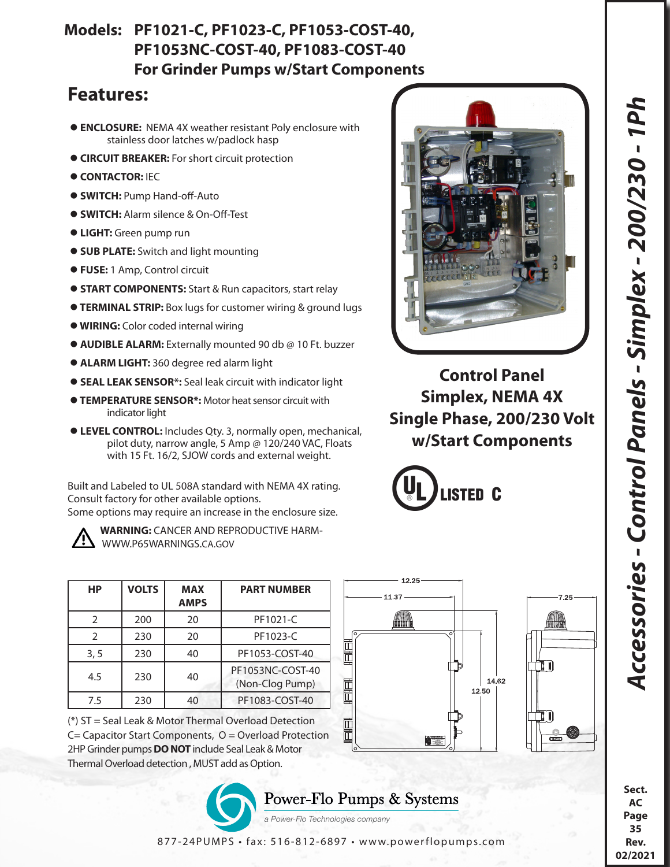## *Accessories - Control Panels - Simplex - 200/230 - 1Ph*  Accessories - Control Panels - Simplex - 200/230 - 1Ph

**Sect. AC Page 35 Rev. 02/2021**

## **Models: PF1021-C, PF1023-C, PF1053-COST-40, PF1053NC-COST-40, PF1083-COST-40 For Grinder Pumps w/Start Components**

## **Features:**

- **ENCLOSURE:** NEMA 4X weather resistant Poly enclosure with stainless door latches w/padlock hasp
- **CIRCUIT BREAKER:** For short circuit protection
- $\bullet$  **CONTACTOR: IEC**
- **SWITCH:** Pump Hand-off-Auto
- **SWITCH:** Alarm silence & On-Off-Test
- **LIGHT:** Green pump run
- **SUB PLATE:** Switch and light mounting
- **FUSE:** 1 Amp, Control circuit
- **START COMPONENTS:** Start & Run capacitors, start relay
- **TERMINAL STRIP:** Box lugs for customer wiring & ground lugs
- **WIRING:** Color coded internal wiring
- **AUDIBLE ALARM:** Externally mounted 90 db @ 10 Ft. buzzer
- **ALARM LIGHT:** 360 degree red alarm light
- **SEAL LEAK SENSOR\*:** Seal leak circuit with indicator light
- **TEMPERATURE SENSOR\*:** Motor heat sensor circuit with indicator light
- **LEVEL CONTROL:** Includes Qty. 3, normally open, mechanical, pilot duty, narrow angle, 5 Amp @ 120/240 VAC, Floats with 15 Ft. 16/2, SJOW cords and external weight.

Built and Labeled to UL 508A standard with NEMA 4X rating. Consult factory for other available options. Some options may require an increase in the enclosure size.

 **WARNING:** CANCER AND REPRODUCTIVE HARM- WWW.P65WARNINGS.CA.GOV

| HP            | <b>VOLTS</b> | <b>MAX</b><br><b>AMPS</b> | <b>PART NUMBER</b>                  |
|---------------|--------------|---------------------------|-------------------------------------|
| $\mathcal{P}$ | 200          | 20                        | PF1021-C                            |
| $\mathcal{P}$ | 230          | 20                        | PF1023-C                            |
| 3, 5          | 230          | 40                        | PF1053-COST-40                      |
| 4.5           | 230          | 40                        | PF1053NC-COST-40<br>(Non-Clog Pump) |
| 7.5           | 230          | 40                        | PF1083-COST-40                      |

(\*) ST = Seal Leak & Motor Thermal Overload Detection C= Capacitor Start Components, O = Overload Protection 2HP Grinder pumps **DO NOT** include Seal Leak & Motor Thermal Overload detection , MUST add as Option.

> Power-Flo Pumps & Systems a Power-Flo Technologies company

877-24PUMPS • fax: 516-812-6897 • www.powerflopumps.com